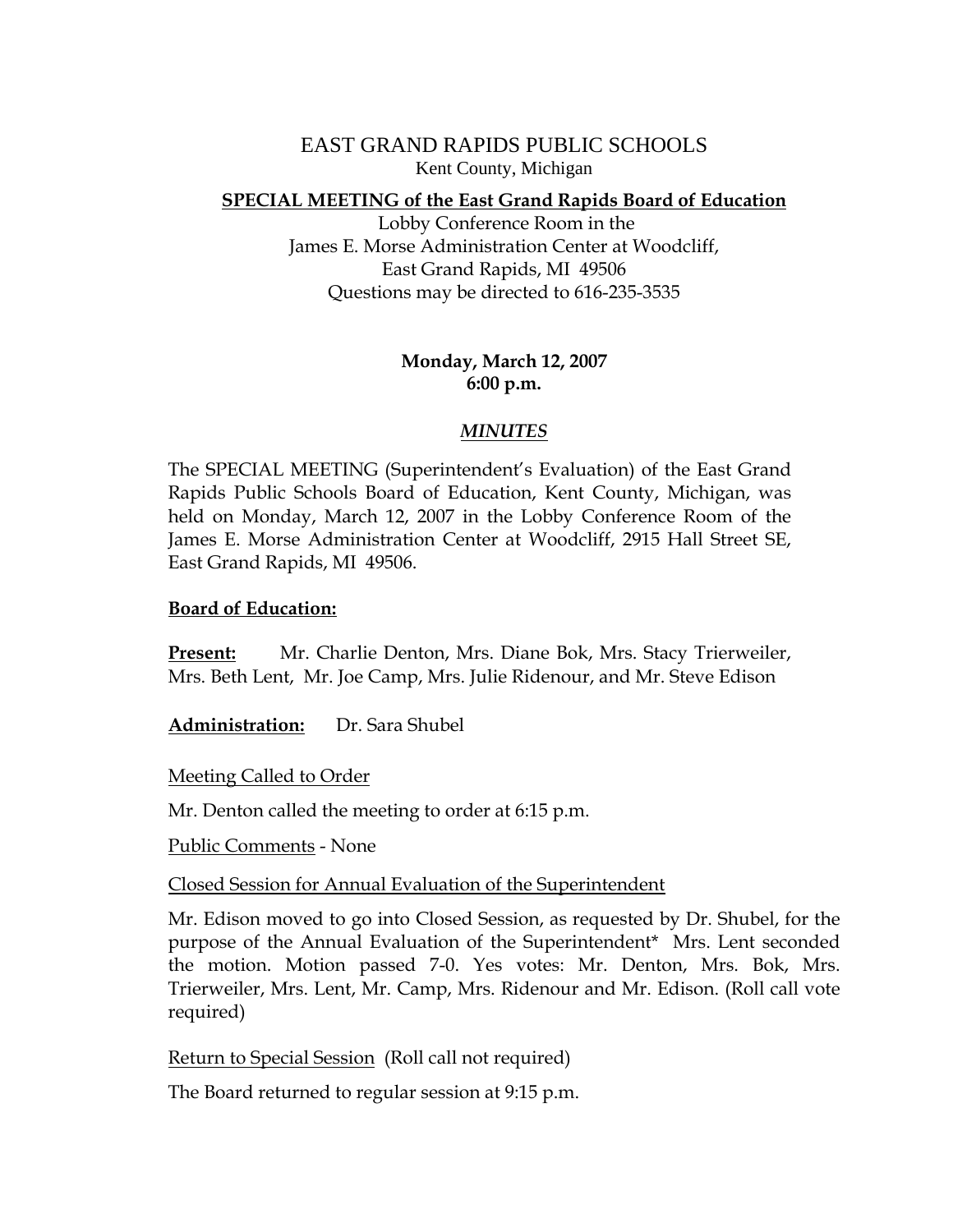EAST GRAND RAPIDS PUBLIC SCHOOLS Kent County, Michigan

#### **SPECIAL MEETING of the East Grand Rapids Board of Education**

 Lobby Conference Room in the James E. Morse Administration Center at Woodcliff, East Grand Rapids, MI 49506 Questions may be directed to 616-235-3535

## **Monday, March 12, 2007 6:00 p.m.**

## *MINUTES*

The SPECIAL MEETING (Superintendent's Evaluation) of the East Grand Rapids Public Schools Board of Education, Kent County, Michigan, was held on Monday, March 12, 2007 in the Lobby Conference Room of the James E. Morse Administration Center at Woodcliff, 2915 Hall Street SE, East Grand Rapids, MI 49506.

#### **Board of Education:**

**Present:** Mr. Charlie Denton, Mrs. Diane Bok, Mrs. Stacy Trierweiler, Mrs. Beth Lent, Mr. Joe Camp, Mrs. Julie Ridenour, and Mr. Steve Edison

**Administration:** Dr. Sara Shubel

**Meeting Called to Order** 

Mr. Denton called the meeting to order at 6:15 p.m.

Public Comments - None

Closed Session for Annual Evaluation of the Superintendent

Mr. Edison moved to go into Closed Session, as requested by Dr. Shubel, for the purpose of the Annual Evaluation of the Superintendent\* Mrs. Lent seconded the motion. Motion passed 7-0. Yes votes: Mr. Denton, Mrs. Bok, Mrs. Trierweiler, Mrs. Lent, Mr. Camp, Mrs. Ridenour and Mr. Edison. (Roll call vote required)

Return to Special Session (Roll call not required)

The Board returned to regular session at 9:15 p.m.